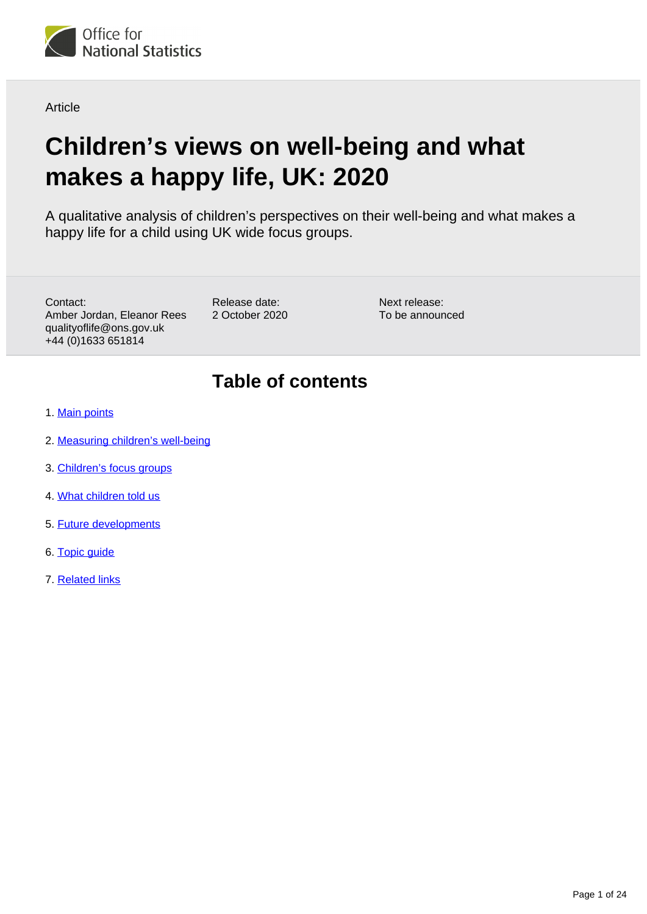

**Article** 

# **Children's views on well-being and what makes a happy life, UK: 2020**

A qualitative analysis of children's perspectives on their well-being and what makes a happy life for a child using UK wide focus groups.

Contact: Amber Jordan, Eleanor Rees qualityoflife@ons.gov.uk +44 (0)1633 651814

Release date: 2 October 2020 Next release: To be announced

## **Table of contents**

- 1. [Main points](#page-1-0)
- 2. [Measuring children's well-being](#page-1-1)
- 3. [Children's focus groups](#page-2-0)
- 4. [What children told us](#page-4-0)
- 5. [Future developments](#page-20-0)
- 6. [Topic guide](#page-20-1)
- 7. [Related links](#page-23-0)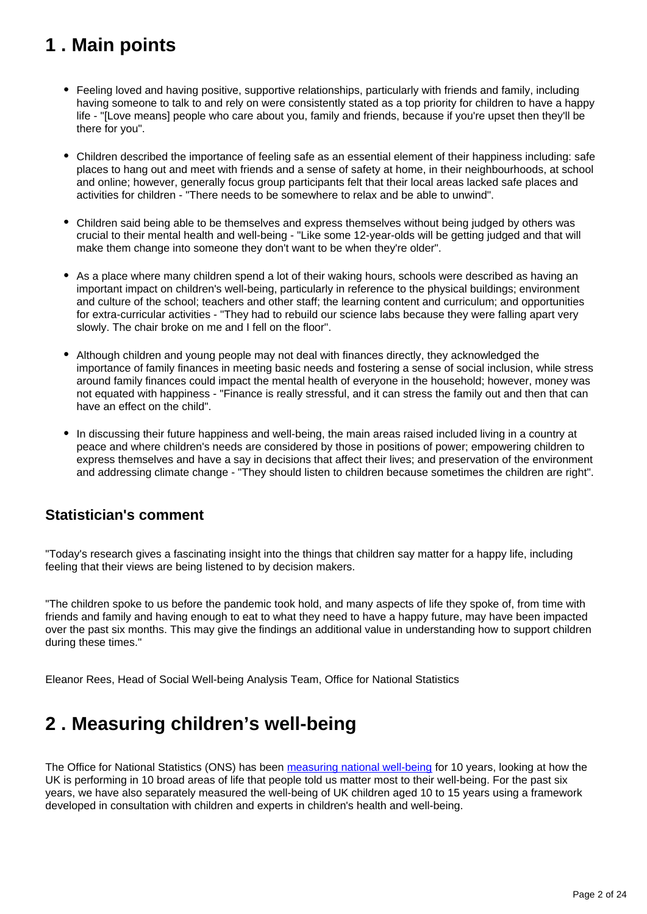## <span id="page-1-0"></span>**1 . Main points**

- Feeling loved and having positive, supportive relationships, particularly with friends and family, including having someone to talk to and rely on were consistently stated as a top priority for children to have a happy life - "[Love means] people who care about you, family and friends, because if you're upset then they'll be there for you".
- Children described the importance of feeling safe as an essential element of their happiness including: safe places to hang out and meet with friends and a sense of safety at home, in their neighbourhoods, at school and online; however, generally focus group participants felt that their local areas lacked safe places and activities for children - "There needs to be somewhere to relax and be able to unwind".
- Children said being able to be themselves and express themselves without being judged by others was crucial to their mental health and well-being - "Like some 12-year-olds will be getting judged and that will make them change into someone they don't want to be when they're older".
- As a place where many children spend a lot of their waking hours, schools were described as having an important impact on children's well-being, particularly in reference to the physical buildings; environment and culture of the school; teachers and other staff; the learning content and curriculum; and opportunities for extra-curricular activities - "They had to rebuild our science labs because they were falling apart very slowly. The chair broke on me and I fell on the floor".
- Although children and young people may not deal with finances directly, they acknowledged the importance of family finances in meeting basic needs and fostering a sense of social inclusion, while stress around family finances could impact the mental health of everyone in the household; however, money was not equated with happiness - "Finance is really stressful, and it can stress the family out and then that can have an effect on the child".
- In discussing their future happiness and well-being, the main areas raised included living in a country at peace and where children's needs are considered by those in positions of power; empowering children to express themselves and have a say in decisions that affect their lives; and preservation of the environment and addressing climate change - "They should listen to children because sometimes the children are right".

## **Statistician's comment**

"Today's research gives a fascinating insight into the things that children say matter for a happy life, including feeling that their views are being listened to by decision makers.

"The children spoke to us before the pandemic took hold, and many aspects of life they spoke of, from time with friends and family and having enough to eat to what they need to have a happy future, may have been impacted over the past six months. This may give the findings an additional value in understanding how to support children during these times."

Eleanor Rees, Head of Social Well-being Analysis Team, Office for National Statistics

## <span id="page-1-1"></span>**2 . Measuring children's well-being**

The Office for National Statistics (ONS) has been [measuring national well-being](https://www.ons.gov.uk/peoplepopulationandcommunity/wellbeing/bulletins/measuringnationalwellbeing/april2019tomarch2020) for 10 years, looking at how the UK is performing in 10 broad areas of life that people told us matter most to their well-being. For the past six years, we have also separately measured the well-being of UK children aged 10 to 15 years using a framework developed in consultation with children and experts in children's health and well-being.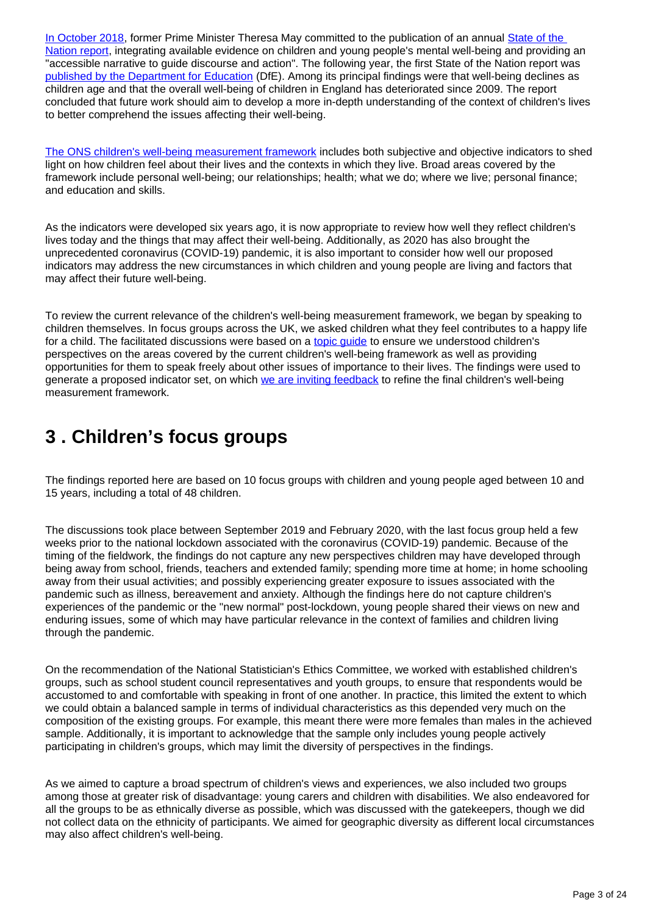[In October 2018](https://assets.publishing.service.gov.uk/government/uploads/system/uploads/attachment_data/file/842176/SIG_report.pdf), former Prime Minister Theresa May committed to the publication of an annual State of the [Nation report](https://assets.publishing.service.gov.uk/government/uploads/system/uploads/attachment_data/file/838022/State_of_the_Nation_2019_young_people_children_wellbeing.pdf), integrating available evidence on children and young people's mental well-being and providing an "accessible narrative to guide discourse and action". The following year, the first State of the Nation report was [published by the Department for Education](https://www.gov.uk/government/publications/state-of-the-nation-2019-children-and-young-peoples-wellbeing) (DfE). Among its principal findings were that well-being declines as children age and that the overall well-being of children in England has deteriorated since 2009. The report concluded that future work should aim to develop a more in-depth understanding of the context of children's lives to better comprehend the issues affecting their well-being.

[The ONS children's well-being measurement framework](https://www.ons.gov.uk/peoplepopulationandcommunity/wellbeing/articles/measuringnationalwellbeing/march2018) includes both subjective and objective indicators to shed light on how children feel about their lives and the contexts in which they live. Broad areas covered by the framework include personal well-being; our relationships; health; what we do; where we live; personal finance; and education and skills.

As the indicators were developed six years ago, it is now appropriate to review how well they reflect children's lives today and the things that may affect their well-being. Additionally, as 2020 has also brought the unprecedented coronavirus (COVID-19) pandemic, it is also important to consider how well our proposed indicators may address the new circumstances in which children and young people are living and factors that may affect their future well-being.

To review the current relevance of the children's well-being measurement framework, we began by speaking to children themselves. In focus groups across the UK, we asked children what they feel contributes to a happy life for a child. The facilitated discussions were based on a [topic guide](https://www.ons.gov.uk/peoplepopulationandcommunity/wellbeing/articles/childrensviewsonwellbeingandwhatmakesahappylifeuk2020/2020-10-02#topic-guide) to ensure we understood children's perspectives on the areas covered by the current children's well-being framework as well as providing opportunities for them to speak freely about other issues of importance to their lives. The findings were used to generate a proposed indicator set, on which [we are inviting feedback](https://www.ons.gov.uk/peoplepopulationandcommunity/wellbeing/articles/childrenswellbeingindicatorreviewuk2020/2020-09-02#future-developments) to refine the final children's well-being measurement framework.

## <span id="page-2-0"></span>**3 . Children's focus groups**

The findings reported here are based on 10 focus groups with children and young people aged between 10 and 15 years, including a total of 48 children.

The discussions took place between September 2019 and February 2020, with the last focus group held a few weeks prior to the national lockdown associated with the coronavirus (COVID-19) pandemic. Because of the timing of the fieldwork, the findings do not capture any new perspectives children may have developed through being away from school, friends, teachers and extended family; spending more time at home; in home schooling away from their usual activities; and possibly experiencing greater exposure to issues associated with the pandemic such as illness, bereavement and anxiety. Although the findings here do not capture children's experiences of the pandemic or the "new normal" post-lockdown, young people shared their views on new and enduring issues, some of which may have particular relevance in the context of families and children living through the pandemic.

On the recommendation of the National Statistician's Ethics Committee, we worked with established children's groups, such as school student council representatives and youth groups, to ensure that respondents would be accustomed to and comfortable with speaking in front of one another. In practice, this limited the extent to which we could obtain a balanced sample in terms of individual characteristics as this depended very much on the composition of the existing groups. For example, this meant there were more females than males in the achieved sample. Additionally, it is important to acknowledge that the sample only includes young people actively participating in children's groups, which may limit the diversity of perspectives in the findings.

As we aimed to capture a broad spectrum of children's views and experiences, we also included two groups among those at greater risk of disadvantage: young carers and children with disabilities. We also endeavored for all the groups to be as ethnically diverse as possible, which was discussed with the gatekeepers, though we did not collect data on the ethnicity of participants. We aimed for geographic diversity as different local circumstances may also affect children's well-being.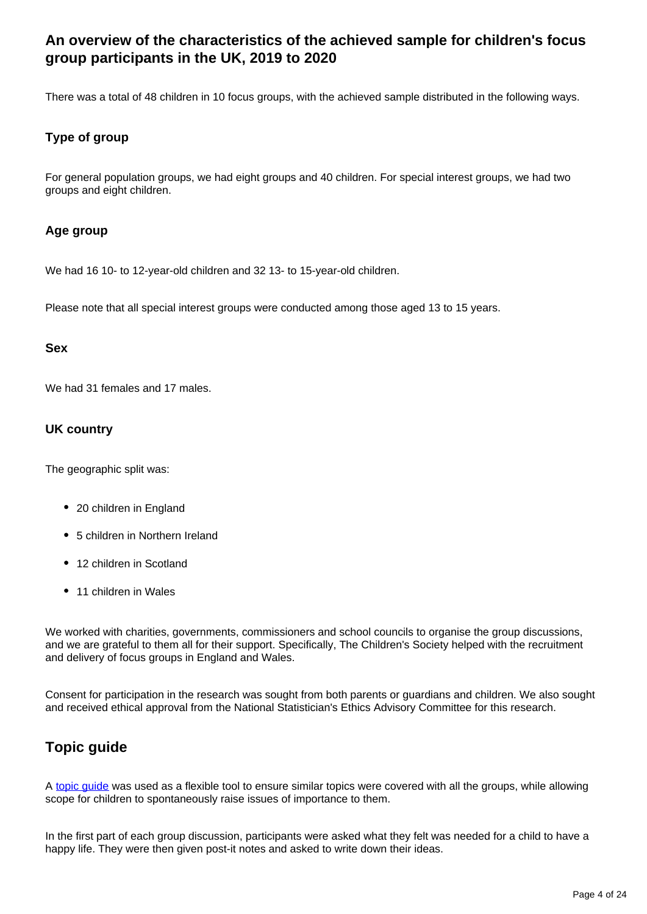## **An overview of the characteristics of the achieved sample for children's focus group participants in the UK, 2019 to 2020**

There was a total of 48 children in 10 focus groups, with the achieved sample distributed in the following ways.

#### **Type of group**

For general population groups, we had eight groups and 40 children. For special interest groups, we had two groups and eight children.

#### **Age group**

We had 16 10- to 12-year-old children and 32 13- to 15-year-old children.

Please note that all special interest groups were conducted among those aged 13 to 15 years.

#### **Sex**

We had 31 females and 17 males.

#### **UK country**

The geographic split was:

- 20 children in England
- 5 children in Northern Ireland
- 12 children in Scotland
- 11 children in Wales

We worked with charities, governments, commissioners and school councils to organise the group discussions, and we are grateful to them all for their support. Specifically, The Children's Society helped with the recruitment and delivery of focus groups in England and Wales.

Consent for participation in the research was sought from both parents or guardians and children. We also sought and received ethical approval from the National Statistician's Ethics Advisory Committee for this research.

## **Topic guide**

A [topic guide](https://www.ons.gov.uk/peoplepopulationandcommunity/wellbeing/articles/childrensviewsonwellbeingandwhatmakesahappylifeuk2020/2020-10-02#topic-guide) was used as a flexible tool to ensure similar topics were covered with all the groups, while allowing scope for children to spontaneously raise issues of importance to them.

In the first part of each group discussion, participants were asked what they felt was needed for a child to have a happy life. They were then given post-it notes and asked to write down their ideas.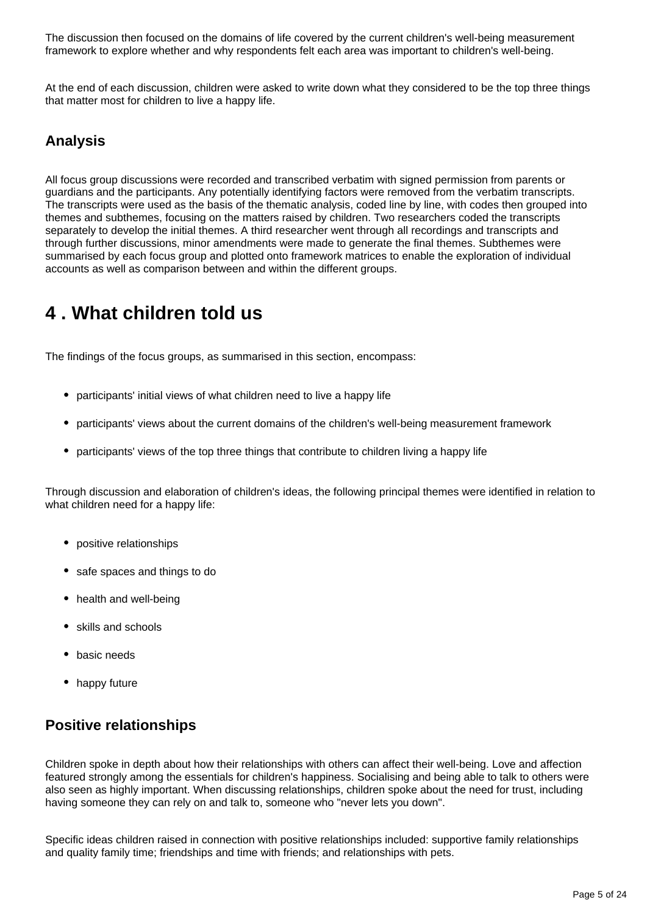The discussion then focused on the domains of life covered by the current children's well-being measurement framework to explore whether and why respondents felt each area was important to children's well-being.

At the end of each discussion, children were asked to write down what they considered to be the top three things that matter most for children to live a happy life.

## **Analysis**

All focus group discussions were recorded and transcribed verbatim with signed permission from parents or guardians and the participants. Any potentially identifying factors were removed from the verbatim transcripts. The transcripts were used as the basis of the thematic analysis, coded line by line, with codes then grouped into themes and subthemes, focusing on the matters raised by children. Two researchers coded the transcripts separately to develop the initial themes. A third researcher went through all recordings and transcripts and through further discussions, minor amendments were made to generate the final themes. Subthemes were summarised by each focus group and plotted onto framework matrices to enable the exploration of individual accounts as well as comparison between and within the different groups.

## <span id="page-4-0"></span>**4 . What children told us**

The findings of the focus groups, as summarised in this section, encompass:

- participants' initial views of what children need to live a happy life
- participants' views about the current domains of the children's well-being measurement framework
- participants' views of the top three things that contribute to children living a happy life

Through discussion and elaboration of children's ideas, the following principal themes were identified in relation to what children need for a happy life:

- positive relationships
- safe spaces and things to do
- health and well-being
- skills and schools
- basic needs
- happy future

## **Positive relationships**

Children spoke in depth about how their relationships with others can affect their well-being. Love and affection featured strongly among the essentials for children's happiness. Socialising and being able to talk to others were also seen as highly important. When discussing relationships, children spoke about the need for trust, including having someone they can rely on and talk to, someone who "never lets you down".

Specific ideas children raised in connection with positive relationships included: supportive family relationships and quality family time; friendships and time with friends; and relationships with pets.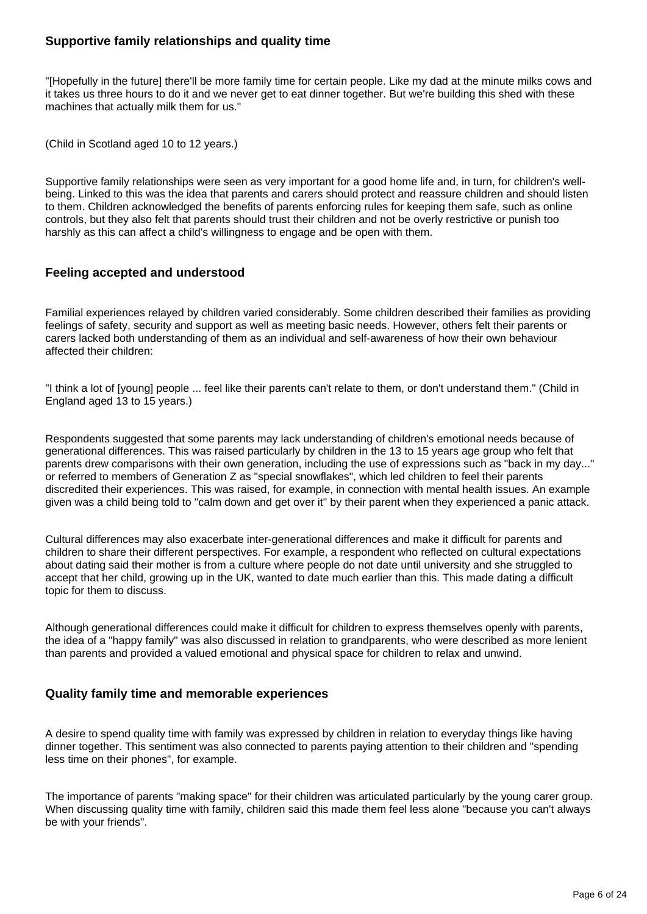#### **Supportive family relationships and quality time**

"[Hopefully in the future] there'll be more family time for certain people. Like my dad at the minute milks cows and it takes us three hours to do it and we never get to eat dinner together. But we're building this shed with these machines that actually milk them for us."

(Child in Scotland aged 10 to 12 years.)

Supportive family relationships were seen as very important for a good home life and, in turn, for children's wellbeing. Linked to this was the idea that parents and carers should protect and reassure children and should listen to them. Children acknowledged the benefits of parents enforcing rules for keeping them safe, such as online controls, but they also felt that parents should trust their children and not be overly restrictive or punish too harshly as this can affect a child's willingness to engage and be open with them.

#### **Feeling accepted and understood**

Familial experiences relayed by children varied considerably. Some children described their families as providing feelings of safety, security and support as well as meeting basic needs. However, others felt their parents or carers lacked both understanding of them as an individual and self-awareness of how their own behaviour affected their children:

"I think a lot of [young] people ... feel like their parents can't relate to them, or don't understand them." (Child in England aged 13 to 15 years.)

Respondents suggested that some parents may lack understanding of children's emotional needs because of generational differences. This was raised particularly by children in the 13 to 15 years age group who felt that parents drew comparisons with their own generation, including the use of expressions such as "back in my day..." or referred to members of Generation Z as "special snowflakes", which led children to feel their parents discredited their experiences. This was raised, for example, in connection with mental health issues. An example given was a child being told to "calm down and get over it" by their parent when they experienced a panic attack.

Cultural differences may also exacerbate inter-generational differences and make it difficult for parents and children to share their different perspectives. For example, a respondent who reflected on cultural expectations about dating said their mother is from a culture where people do not date until university and she struggled to accept that her child, growing up in the UK, wanted to date much earlier than this. This made dating a difficult topic for them to discuss.

Although generational differences could make it difficult for children to express themselves openly with parents, the idea of a "happy family" was also discussed in relation to grandparents, who were described as more lenient than parents and provided a valued emotional and physical space for children to relax and unwind.

#### **Quality family time and memorable experiences**

A desire to spend quality time with family was expressed by children in relation to everyday things like having dinner together. This sentiment was also connected to parents paying attention to their children and "spending less time on their phones", for example.

The importance of parents "making space" for their children was articulated particularly by the young carer group. When discussing quality time with family, children said this made them feel less alone "because you can't always be with your friends".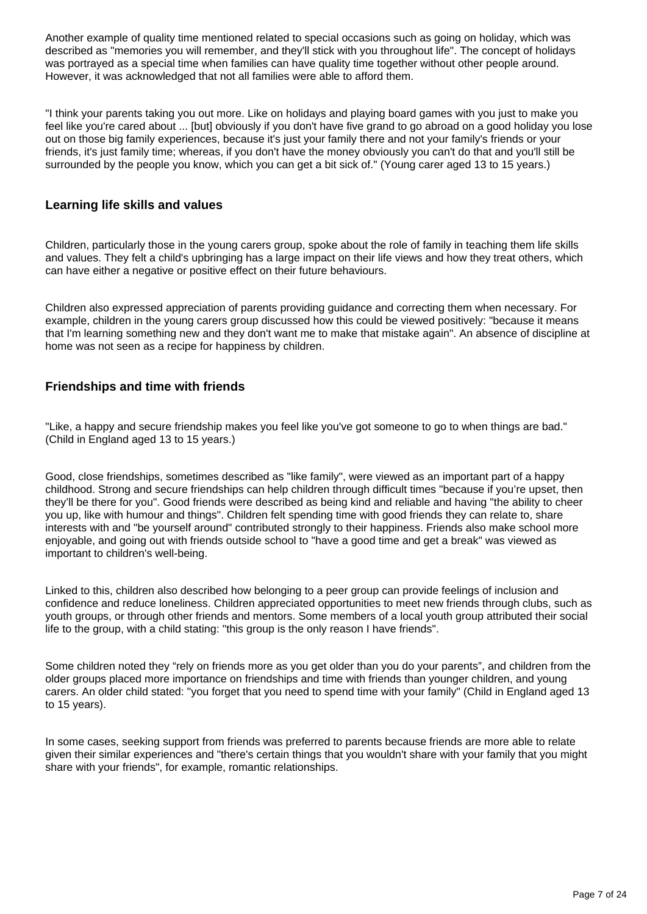Another example of quality time mentioned related to special occasions such as going on holiday, which was described as "memories you will remember, and they'll stick with you throughout life". The concept of holidays was portrayed as a special time when families can have quality time together without other people around. However, it was acknowledged that not all families were able to afford them.

"I think your parents taking you out more. Like on holidays and playing board games with you just to make you feel like you're cared about ... [but] obviously if you don't have five grand to go abroad on a good holiday you lose out on those big family experiences, because it's just your family there and not your family's friends or your friends, it's just family time; whereas, if you don't have the money obviously you can't do that and you'll still be surrounded by the people you know, which you can get a bit sick of." (Young carer aged 13 to 15 years.)

#### **Learning life skills and values**

Children, particularly those in the young carers group, spoke about the role of family in teaching them life skills and values. They felt a child's upbringing has a large impact on their life views and how they treat others, which can have either a negative or positive effect on their future behaviours.

Children also expressed appreciation of parents providing guidance and correcting them when necessary. For example, children in the young carers group discussed how this could be viewed positively: "because it means that I'm learning something new and they don't want me to make that mistake again". An absence of discipline at home was not seen as a recipe for happiness by children.

#### **Friendships and time with friends**

"Like, a happy and secure friendship makes you feel like you've got someone to go to when things are bad." (Child in England aged 13 to 15 years.)

Good, close friendships, sometimes described as "like family", were viewed as an important part of a happy childhood. Strong and secure friendships can help children through difficult times "because if you're upset, then they'll be there for you". Good friends were described as being kind and reliable and having "the ability to cheer you up, like with humour and things". Children felt spending time with good friends they can relate to, share interests with and "be yourself around" contributed strongly to their happiness. Friends also make school more enjoyable, and going out with friends outside school to "have a good time and get a break" was viewed as important to children's well-being.

Linked to this, children also described how belonging to a peer group can provide feelings of inclusion and confidence and reduce loneliness. Children appreciated opportunities to meet new friends through clubs, such as youth groups, or through other friends and mentors. Some members of a local youth group attributed their social life to the group, with a child stating: "this group is the only reason I have friends".

Some children noted they "rely on friends more as you get older than you do your parents", and children from the older groups placed more importance on friendships and time with friends than younger children, and young carers. An older child stated: "you forget that you need to spend time with your family" (Child in England aged 13 to 15 years).

In some cases, seeking support from friends was preferred to parents because friends are more able to relate given their similar experiences and "there's certain things that you wouldn't share with your family that you might share with your friends", for example, romantic relationships.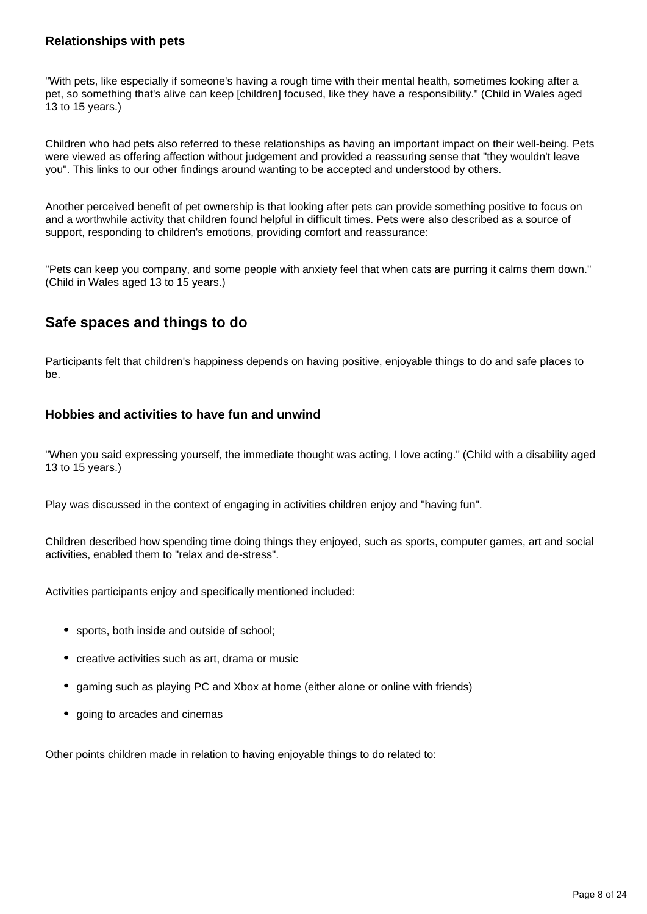#### **Relationships with pets**

"With pets, like especially if someone's having a rough time with their mental health, sometimes looking after a pet, so something that's alive can keep [children] focused, like they have a responsibility." (Child in Wales aged 13 to 15 years.)

Children who had pets also referred to these relationships as having an important impact on their well-being. Pets were viewed as offering affection without judgement and provided a reassuring sense that "they wouldn't leave you". This links to our other findings around wanting to be accepted and understood by others.

Another perceived benefit of pet ownership is that looking after pets can provide something positive to focus on and a worthwhile activity that children found helpful in difficult times. Pets were also described as a source of support, responding to children's emotions, providing comfort and reassurance:

"Pets can keep you company, and some people with anxiety feel that when cats are purring it calms them down." (Child in Wales aged 13 to 15 years.)

## **Safe spaces and things to do**

Participants felt that children's happiness depends on having positive, enjoyable things to do and safe places to be.

#### **Hobbies and activities to have fun and unwind**

"When you said expressing yourself, the immediate thought was acting, I love acting." (Child with a disability aged 13 to 15 years.)

Play was discussed in the context of engaging in activities children enjoy and "having fun".

Children described how spending time doing things they enjoyed, such as sports, computer games, art and social activities, enabled them to "relax and de-stress".

Activities participants enjoy and specifically mentioned included:

- sports, both inside and outside of school;
- creative activities such as art, drama or music
- gaming such as playing PC and Xbox at home (either alone or online with friends)
- going to arcades and cinemas

Other points children made in relation to having enjoyable things to do related to: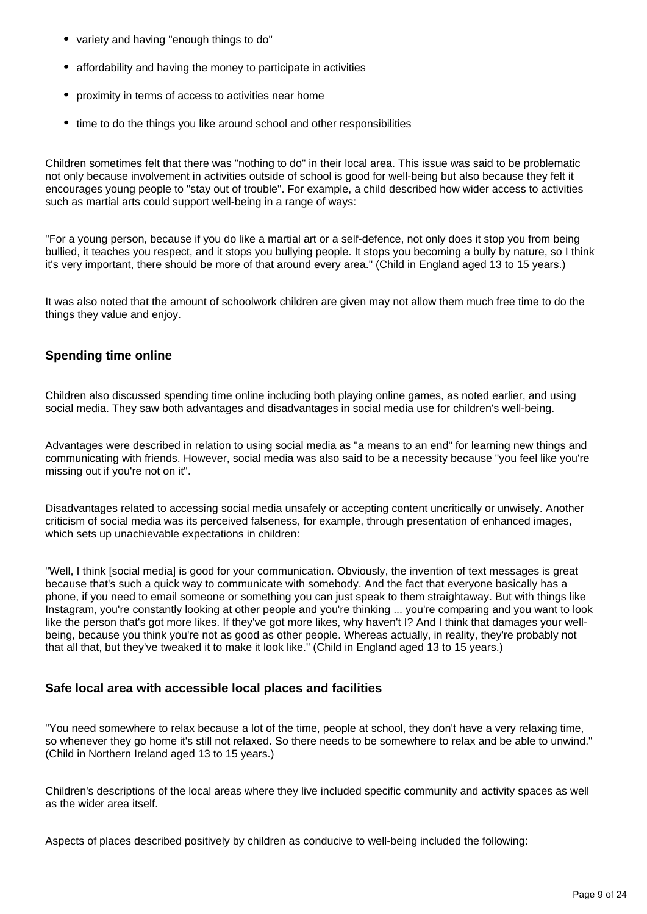- variety and having "enough things to do"
- affordability and having the money to participate in activities
- proximity in terms of access to activities near home
- time to do the things you like around school and other responsibilities

Children sometimes felt that there was "nothing to do" in their local area. This issue was said to be problematic not only because involvement in activities outside of school is good for well-being but also because they felt it encourages young people to "stay out of trouble". For example, a child described how wider access to activities such as martial arts could support well-being in a range of ways:

"For a young person, because if you do like a martial art or a self-defence, not only does it stop you from being bullied, it teaches you respect, and it stops you bullying people. It stops you becoming a bully by nature, so I think it's very important, there should be more of that around every area." (Child in England aged 13 to 15 years.)

It was also noted that the amount of schoolwork children are given may not allow them much free time to do the things they value and enjoy.

#### **Spending time online**

Children also discussed spending time online including both playing online games, as noted earlier, and using social media. They saw both advantages and disadvantages in social media use for children's well-being.

Advantages were described in relation to using social media as "a means to an end" for learning new things and communicating with friends. However, social media was also said to be a necessity because "you feel like you're missing out if you're not on it".

Disadvantages related to accessing social media unsafely or accepting content uncritically or unwisely. Another criticism of social media was its perceived falseness, for example, through presentation of enhanced images, which sets up unachievable expectations in children:

"Well, I think [social media] is good for your communication. Obviously, the invention of text messages is great because that's such a quick way to communicate with somebody. And the fact that everyone basically has a phone, if you need to email someone or something you can just speak to them straightaway. But with things like Instagram, you're constantly looking at other people and you're thinking ... you're comparing and you want to look like the person that's got more likes. If they've got more likes, why haven't I? And I think that damages your wellbeing, because you think you're not as good as other people. Whereas actually, in reality, they're probably not that all that, but they've tweaked it to make it look like." (Child in England aged 13 to 15 years.)

#### **Safe local area with accessible local places and facilities**

"You need somewhere to relax because a lot of the time, people at school, they don't have a very relaxing time, so whenever they go home it's still not relaxed. So there needs to be somewhere to relax and be able to unwind." (Child in Northern Ireland aged 13 to 15 years.)

Children's descriptions of the local areas where they live included specific community and activity spaces as well as the wider area itself.

Aspects of places described positively by children as conducive to well-being included the following: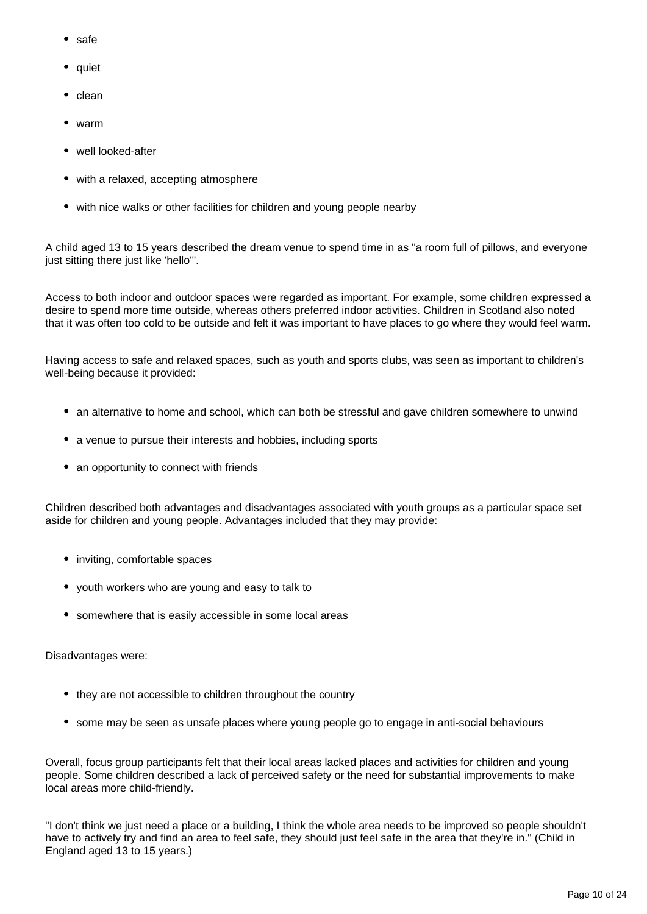- safe
- quiet
- $\bullet$  clean
- warm
- well looked-after
- with a relaxed, accepting atmosphere
- with nice walks or other facilities for children and young people nearby

A child aged 13 to 15 years described the dream venue to spend time in as "a room full of pillows, and everyone just sitting there just like 'hello'".

Access to both indoor and outdoor spaces were regarded as important. For example, some children expressed a desire to spend more time outside, whereas others preferred indoor activities. Children in Scotland also noted that it was often too cold to be outside and felt it was important to have places to go where they would feel warm.

Having access to safe and relaxed spaces, such as youth and sports clubs, was seen as important to children's well-being because it provided:

- an alternative to home and school, which can both be stressful and gave children somewhere to unwind
- a venue to pursue their interests and hobbies, including sports
- an opportunity to connect with friends

Children described both advantages and disadvantages associated with youth groups as a particular space set aside for children and young people. Advantages included that they may provide:

- inviting, comfortable spaces
- youth workers who are young and easy to talk to
- somewhere that is easily accessible in some local areas

Disadvantages were:

- they are not accessible to children throughout the country
- some may be seen as unsafe places where young people go to engage in anti-social behaviours

Overall, focus group participants felt that their local areas lacked places and activities for children and young people. Some children described a lack of perceived safety or the need for substantial improvements to make local areas more child-friendly.

"I don't think we just need a place or a building, I think the whole area needs to be improved so people shouldn't have to actively try and find an area to feel safe, they should just feel safe in the area that they're in." (Child in England aged 13 to 15 years.)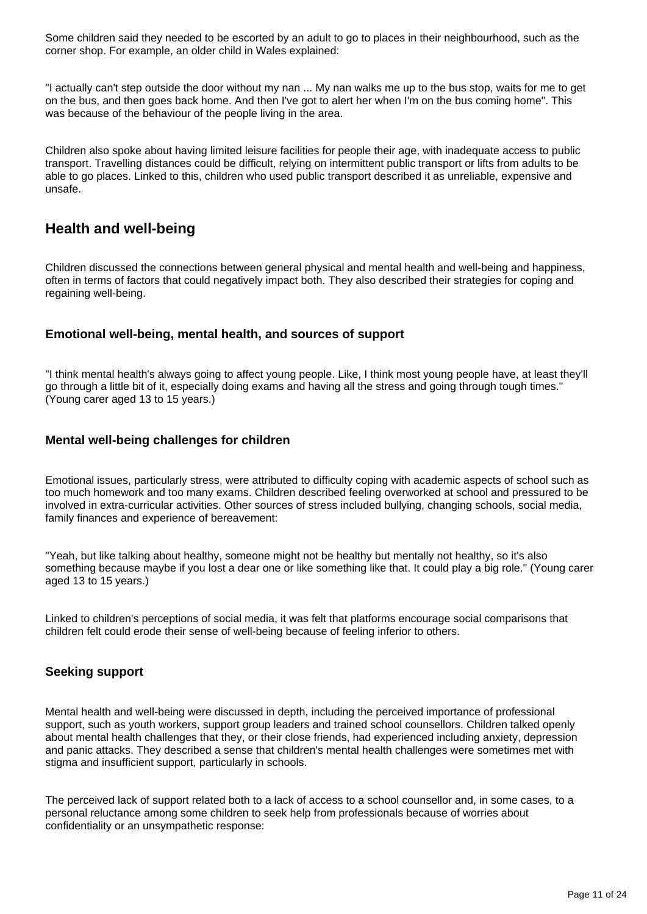Some children said they needed to be escorted by an adult to go to places in their neighbourhood, such as the corner shop. For example, an older child in Wales explained:

"I actually can't step outside the door without my nan ... My nan walks me up to the bus stop, waits for me to get on the bus, and then goes back home. And then I've got to alert her when I'm on the bus coming home". This was because of the behaviour of the people living in the area.

Children also spoke about having limited leisure facilities for people their age, with inadequate access to public transport. Travelling distances could be difficult, relying on intermittent public transport or lifts from adults to be able to go places. Linked to this, children who used public transport described it as unreliable, expensive and unsafe.

### **Health and well-being**

Children discussed the connections between general physical and mental health and well-being and happiness, often in terms of factors that could negatively impact both. They also described their strategies for coping and regaining well-being.

#### **Emotional well-being, mental health, and sources of support**

"I think mental health's always going to affect young people. Like, I think most young people have, at least they'll go through a little bit of it, especially doing exams and having all the stress and going through tough times." (Young carer aged 13 to 15 years.)

#### **Mental well-being challenges for children**

Emotional issues, particularly stress, were attributed to difficulty coping with academic aspects of school such as too much homework and too many exams. Children described feeling overworked at school and pressured to be involved in extra-curricular activities. Other sources of stress included bullying, changing schools, social media, family finances and experience of bereavement:

"Yeah, but like talking about healthy, someone might not be healthy but mentally not healthy, so it's also something because maybe if you lost a dear one or like something like that. It could play a big role." (Young carer aged 13 to 15 years.)

Linked to children's perceptions of social media, it was felt that platforms encourage social comparisons that children felt could erode their sense of well-being because of feeling inferior to others.

#### **Seeking support**

Mental health and well-being were discussed in depth, including the perceived importance of professional support, such as youth workers, support group leaders and trained school counsellors. Children talked openly about mental health challenges that they, or their close friends, had experienced including anxiety, depression and panic attacks. They described a sense that children's mental health challenges were sometimes met with stigma and insufficient support, particularly in schools.

The perceived lack of support related both to a lack of access to a school counsellor and, in some cases, to a personal reluctance among some children to seek help from professionals because of worries about confidentiality or an unsympathetic response: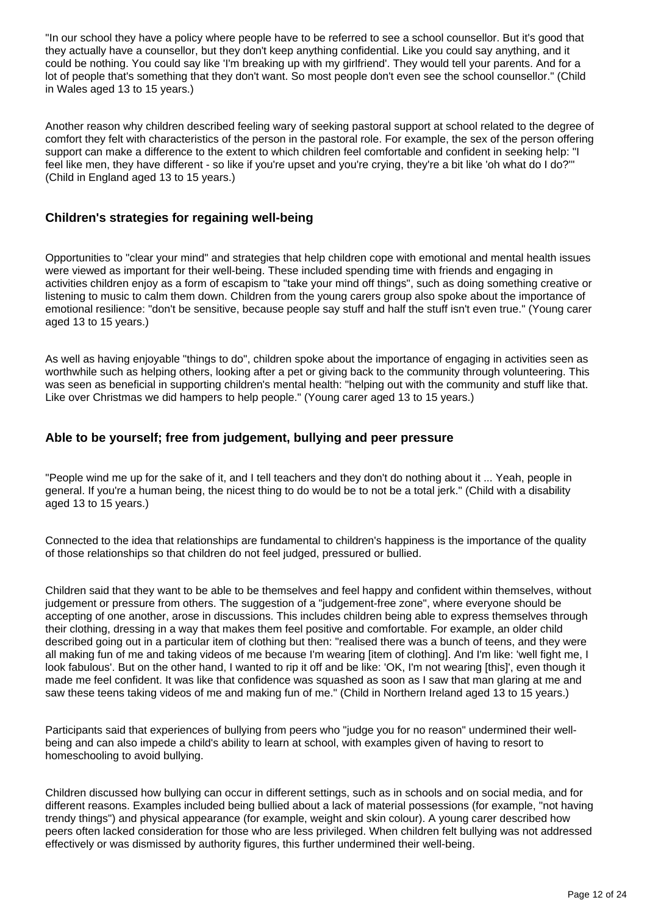"In our school they have a policy where people have to be referred to see a school counsellor. But it's good that they actually have a counsellor, but they don't keep anything confidential. Like you could say anything, and it could be nothing. You could say like 'I'm breaking up with my girlfriend'. They would tell your parents. And for a lot of people that's something that they don't want. So most people don't even see the school counsellor." (Child in Wales aged 13 to 15 years.)

Another reason why children described feeling wary of seeking pastoral support at school related to the degree of comfort they felt with characteristics of the person in the pastoral role. For example, the sex of the person offering support can make a difference to the extent to which children feel comfortable and confident in seeking help: "I feel like men, they have different - so like if you're upset and you're crying, they're a bit like 'oh what do I do?'" (Child in England aged 13 to 15 years.)

#### **Children's strategies for regaining well-being**

Opportunities to "clear your mind" and strategies that help children cope with emotional and mental health issues were viewed as important for their well-being. These included spending time with friends and engaging in activities children enjoy as a form of escapism to "take your mind off things", such as doing something creative or listening to music to calm them down. Children from the young carers group also spoke about the importance of emotional resilience: "don't be sensitive, because people say stuff and half the stuff isn't even true." (Young carer aged 13 to 15 years.)

As well as having enjoyable "things to do", children spoke about the importance of engaging in activities seen as worthwhile such as helping others, looking after a pet or giving back to the community through volunteering. This was seen as beneficial in supporting children's mental health: "helping out with the community and stuff like that. Like over Christmas we did hampers to help people." (Young carer aged 13 to 15 years.)

#### **Able to be yourself; free from judgement, bullying and peer pressure**

"People wind me up for the sake of it, and I tell teachers and they don't do nothing about it ... Yeah, people in general. If you're a human being, the nicest thing to do would be to not be a total jerk." (Child with a disability aged 13 to 15 years.)

Connected to the idea that relationships are fundamental to children's happiness is the importance of the quality of those relationships so that children do not feel judged, pressured or bullied.

Children said that they want to be able to be themselves and feel happy and confident within themselves, without judgement or pressure from others. The suggestion of a "judgement-free zone", where everyone should be accepting of one another, arose in discussions. This includes children being able to express themselves through their clothing, dressing in a way that makes them feel positive and comfortable. For example, an older child described going out in a particular item of clothing but then: "realised there was a bunch of teens, and they were all making fun of me and taking videos of me because I'm wearing [item of clothing]. And I'm like: 'well fight me, I look fabulous'. But on the other hand, I wanted to rip it off and be like: 'OK, I'm not wearing [this]', even though it made me feel confident. It was like that confidence was squashed as soon as I saw that man glaring at me and saw these teens taking videos of me and making fun of me." (Child in Northern Ireland aged 13 to 15 years.)

Participants said that experiences of bullying from peers who "judge you for no reason" undermined their wellbeing and can also impede a child's ability to learn at school, with examples given of having to resort to homeschooling to avoid bullying.

Children discussed how bullying can occur in different settings, such as in schools and on social media, and for different reasons. Examples included being bullied about a lack of material possessions (for example, "not having trendy things") and physical appearance (for example, weight and skin colour). A young carer described how peers often lacked consideration for those who are less privileged. When children felt bullying was not addressed effectively or was dismissed by authority figures, this further undermined their well-being.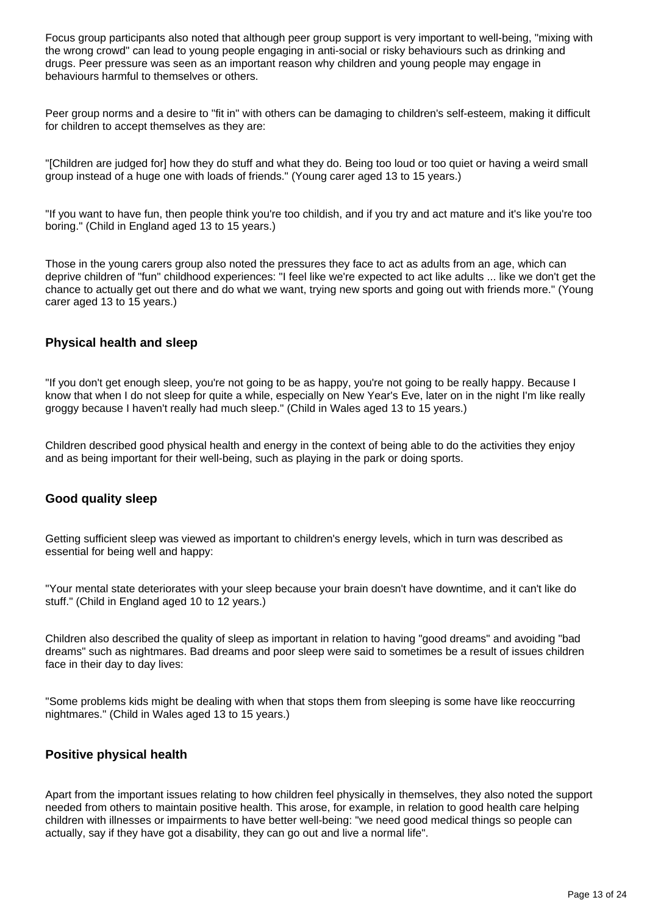Focus group participants also noted that although peer group support is very important to well-being, "mixing with the wrong crowd" can lead to young people engaging in anti-social or risky behaviours such as drinking and drugs. Peer pressure was seen as an important reason why children and young people may engage in behaviours harmful to themselves or others.

Peer group norms and a desire to "fit in" with others can be damaging to children's self-esteem, making it difficult for children to accept themselves as they are:

"[Children are judged for] how they do stuff and what they do. Being too loud or too quiet or having a weird small group instead of a huge one with loads of friends." (Young carer aged 13 to 15 years.)

"If you want to have fun, then people think you're too childish, and if you try and act mature and it's like you're too boring." (Child in England aged 13 to 15 years.)

Those in the young carers group also noted the pressures they face to act as adults from an age, which can deprive children of "fun" childhood experiences: "I feel like we're expected to act like adults ... like we don't get the chance to actually get out there and do what we want, trying new sports and going out with friends more." (Young carer aged 13 to 15 years.)

#### **Physical health and sleep**

"If you don't get enough sleep, you're not going to be as happy, you're not going to be really happy. Because I know that when I do not sleep for quite a while, especially on New Year's Eve, later on in the night I'm like really groggy because I haven't really had much sleep." (Child in Wales aged 13 to 15 years.)

Children described good physical health and energy in the context of being able to do the activities they enjoy and as being important for their well-being, such as playing in the park or doing sports.

#### **Good quality sleep**

Getting sufficient sleep was viewed as important to children's energy levels, which in turn was described as essential for being well and happy:

"Your mental state deteriorates with your sleep because your brain doesn't have downtime, and it can't like do stuff." (Child in England aged 10 to 12 years.)

Children also described the quality of sleep as important in relation to having "good dreams" and avoiding "bad dreams" such as nightmares. Bad dreams and poor sleep were said to sometimes be a result of issues children face in their day to day lives:

"Some problems kids might be dealing with when that stops them from sleeping is some have like reoccurring nightmares." (Child in Wales aged 13 to 15 years.)

#### **Positive physical health**

Apart from the important issues relating to how children feel physically in themselves, they also noted the support needed from others to maintain positive health. This arose, for example, in relation to good health care helping children with illnesses or impairments to have better well-being: "we need good medical things so people can actually, say if they have got a disability, they can go out and live a normal life".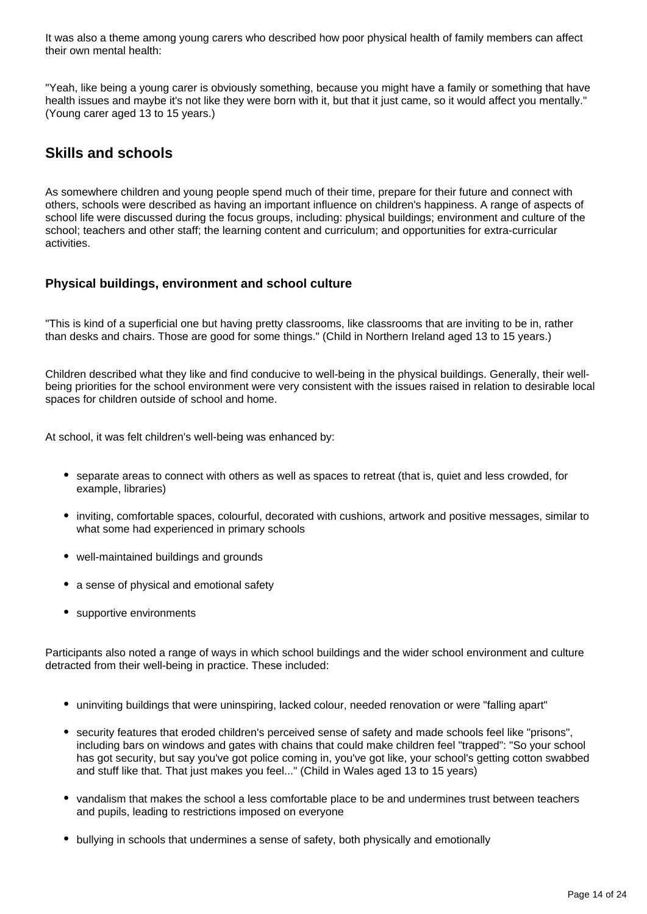It was also a theme among young carers who described how poor physical health of family members can affect their own mental health:

"Yeah, like being a young carer is obviously something, because you might have a family or something that have health issues and maybe it's not like they were born with it, but that it just came, so it would affect you mentally." (Young carer aged 13 to 15 years.)

### **Skills and schools**

As somewhere children and young people spend much of their time, prepare for their future and connect with others, schools were described as having an important influence on children's happiness. A range of aspects of school life were discussed during the focus groups, including: physical buildings; environment and culture of the school; teachers and other staff; the learning content and curriculum; and opportunities for extra-curricular activities.

#### **Physical buildings, environment and school culture**

"This is kind of a superficial one but having pretty classrooms, like classrooms that are inviting to be in, rather than desks and chairs. Those are good for some things." (Child in Northern Ireland aged 13 to 15 years.)

Children described what they like and find conducive to well-being in the physical buildings. Generally, their wellbeing priorities for the school environment were very consistent with the issues raised in relation to desirable local spaces for children outside of school and home.

At school, it was felt children's well-being was enhanced by:

- separate areas to connect with others as well as spaces to retreat (that is, quiet and less crowded, for example, libraries)
- inviting, comfortable spaces, colourful, decorated with cushions, artwork and positive messages, similar to what some had experienced in primary schools
- well-maintained buildings and grounds
- a sense of physical and emotional safety
- supportive environments

Participants also noted a range of ways in which school buildings and the wider school environment and culture detracted from their well-being in practice. These included:

- uninviting buildings that were uninspiring, lacked colour, needed renovation or were "falling apart"
- security features that eroded children's perceived sense of safety and made schools feel like "prisons", including bars on windows and gates with chains that could make children feel "trapped": "So your school has got security, but say you've got police coming in, you've got like, your school's getting cotton swabbed and stuff like that. That just makes you feel..." (Child in Wales aged 13 to 15 years)
- vandalism that makes the school a less comfortable place to be and undermines trust between teachers and pupils, leading to restrictions imposed on everyone
- bullying in schools that undermines a sense of safety, both physically and emotionally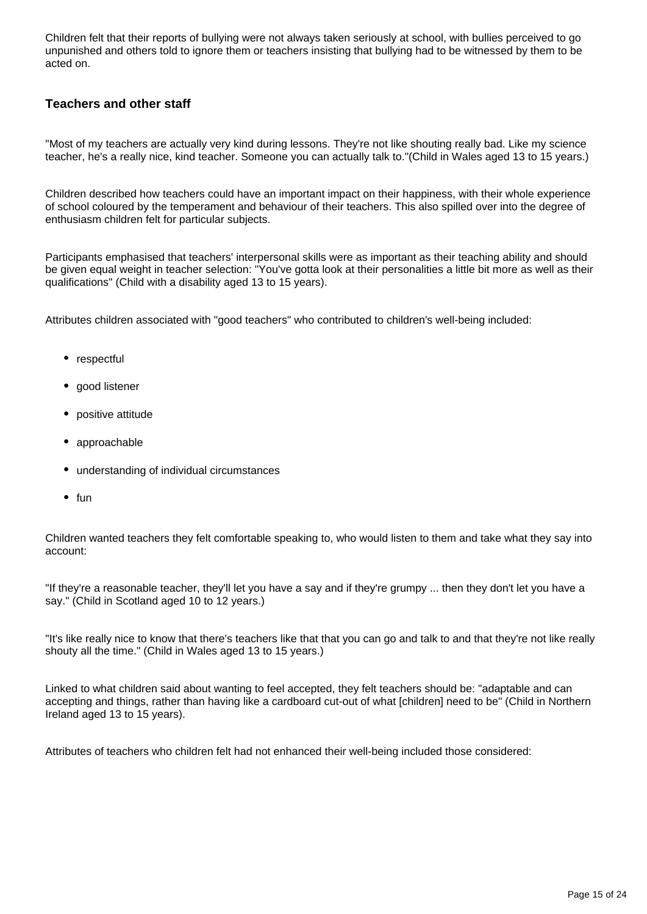Children felt that their reports of bullying were not always taken seriously at school, with bullies perceived to go unpunished and others told to ignore them or teachers insisting that bullying had to be witnessed by them to be acted on.

#### **Teachers and other staff**

"Most of my teachers are actually very kind during lessons. They're not like shouting really bad. Like my science teacher, he's a really nice, kind teacher. Someone you can actually talk to."(Child in Wales aged 13 to 15 years.)

Children described how teachers could have an important impact on their happiness, with their whole experience of school coloured by the temperament and behaviour of their teachers. This also spilled over into the degree of enthusiasm children felt for particular subjects.

Participants emphasised that teachers' interpersonal skills were as important as their teaching ability and should be given equal weight in teacher selection: "You've gotta look at their personalities a little bit more as well as their qualifications" (Child with a disability aged 13 to 15 years).

Attributes children associated with "good teachers" who contributed to children's well-being included:

- respectful
- good listener
- positive attitude
- approachable
- understanding of individual circumstances
- $•$  fun

Children wanted teachers they felt comfortable speaking to, who would listen to them and take what they say into account:

"If they're a reasonable teacher, they'll let you have a say and if they're grumpy ... then they don't let you have a say." (Child in Scotland aged 10 to 12 years.)

"It's like really nice to know that there's teachers like that that you can go and talk to and that they're not like really shouty all the time." (Child in Wales aged 13 to 15 years.)

Linked to what children said about wanting to feel accepted, they felt teachers should be: "adaptable and can accepting and things, rather than having like a cardboard cut-out of what [children] need to be" (Child in Northern Ireland aged 13 to 15 years).

Attributes of teachers who children felt had not enhanced their well-being included those considered: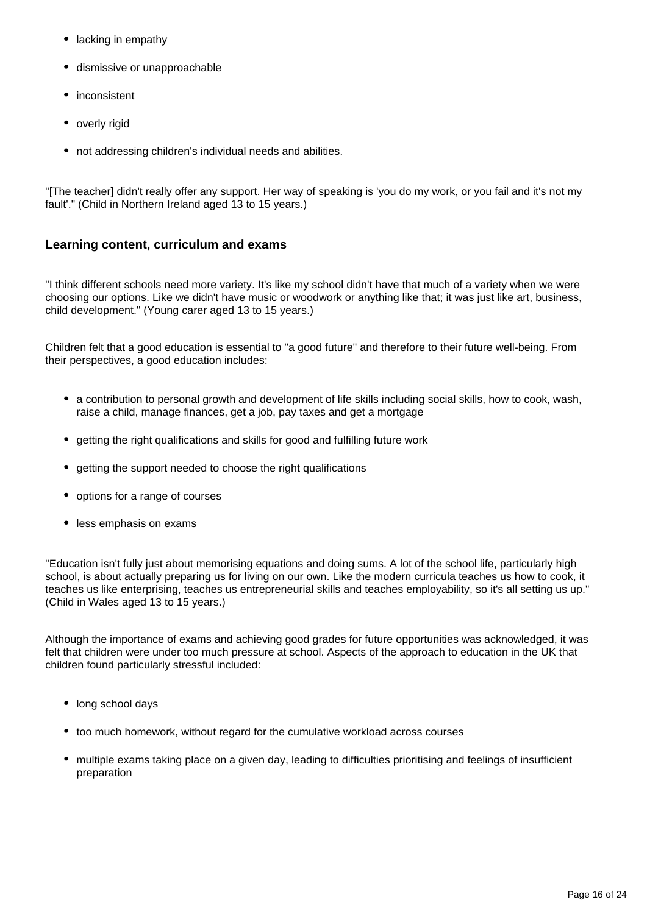- lacking in empathy
- dismissive or unapproachable
- inconsistent
- overly rigid
- not addressing children's individual needs and abilities.

"[The teacher] didn't really offer any support. Her way of speaking is 'you do my work, or you fail and it's not my fault'." (Child in Northern Ireland aged 13 to 15 years.)

#### **Learning content, curriculum and exams**

"I think different schools need more variety. It's like my school didn't have that much of a variety when we were choosing our options. Like we didn't have music or woodwork or anything like that; it was just like art, business, child development." (Young carer aged 13 to 15 years.)

Children felt that a good education is essential to "a good future" and therefore to their future well-being. From their perspectives, a good education includes:

- a contribution to personal growth and development of life skills including social skills, how to cook, wash, raise a child, manage finances, get a job, pay taxes and get a mortgage
- getting the right qualifications and skills for good and fulfilling future work
- getting the support needed to choose the right qualifications
- options for a range of courses
- less emphasis on exams

"Education isn't fully just about memorising equations and doing sums. A lot of the school life, particularly high school, is about actually preparing us for living on our own. Like the modern curricula teaches us how to cook, it teaches us like enterprising, teaches us entrepreneurial skills and teaches employability, so it's all setting us up." (Child in Wales aged 13 to 15 years.)

Although the importance of exams and achieving good grades for future opportunities was acknowledged, it was felt that children were under too much pressure at school. Aspects of the approach to education in the UK that children found particularly stressful included:

- long school days
- too much homework, without regard for the cumulative workload across courses
- multiple exams taking place on a given day, leading to difficulties prioritising and feelings of insufficient preparation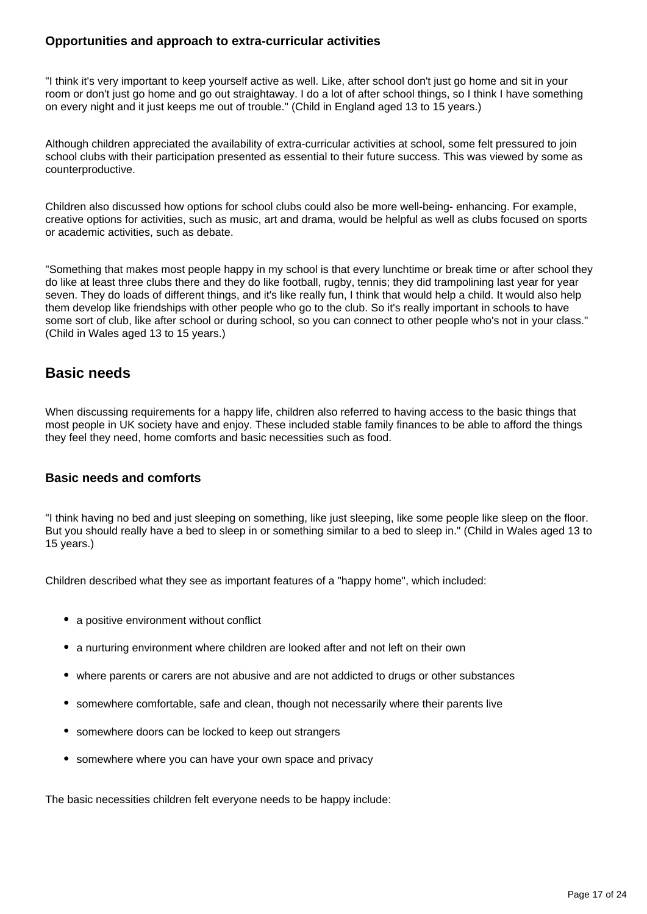#### **Opportunities and approach to extra-curricular activities**

"I think it's very important to keep yourself active as well. Like, after school don't just go home and sit in your room or don't just go home and go out straightaway. I do a lot of after school things, so I think I have something on every night and it just keeps me out of trouble." (Child in England aged 13 to 15 years.)

Although children appreciated the availability of extra-curricular activities at school, some felt pressured to join school clubs with their participation presented as essential to their future success. This was viewed by some as counterproductive.

Children also discussed how options for school clubs could also be more well-being- enhancing. For example, creative options for activities, such as music, art and drama, would be helpful as well as clubs focused on sports or academic activities, such as debate.

"Something that makes most people happy in my school is that every lunchtime or break time or after school they do like at least three clubs there and they do like football, rugby, tennis; they did trampolining last year for year seven. They do loads of different things, and it's like really fun, I think that would help a child. It would also help them develop like friendships with other people who go to the club. So it's really important in schools to have some sort of club, like after school or during school, so you can connect to other people who's not in your class." (Child in Wales aged 13 to 15 years.)

### **Basic needs**

When discussing requirements for a happy life, children also referred to having access to the basic things that most people in UK society have and enjoy. These included stable family finances to be able to afford the things they feel they need, home comforts and basic necessities such as food.

#### **Basic needs and comforts**

"I think having no bed and just sleeping on something, like just sleeping, like some people like sleep on the floor. But you should really have a bed to sleep in or something similar to a bed to sleep in." (Child in Wales aged 13 to 15 years.)

Children described what they see as important features of a "happy home", which included:

- a positive environment without conflict
- a nurturing environment where children are looked after and not left on their own
- where parents or carers are not abusive and are not addicted to drugs or other substances
- somewhere comfortable, safe and clean, though not necessarily where their parents live
- somewhere doors can be locked to keep out strangers
- somewhere where you can have your own space and privacy

The basic necessities children felt everyone needs to be happy include: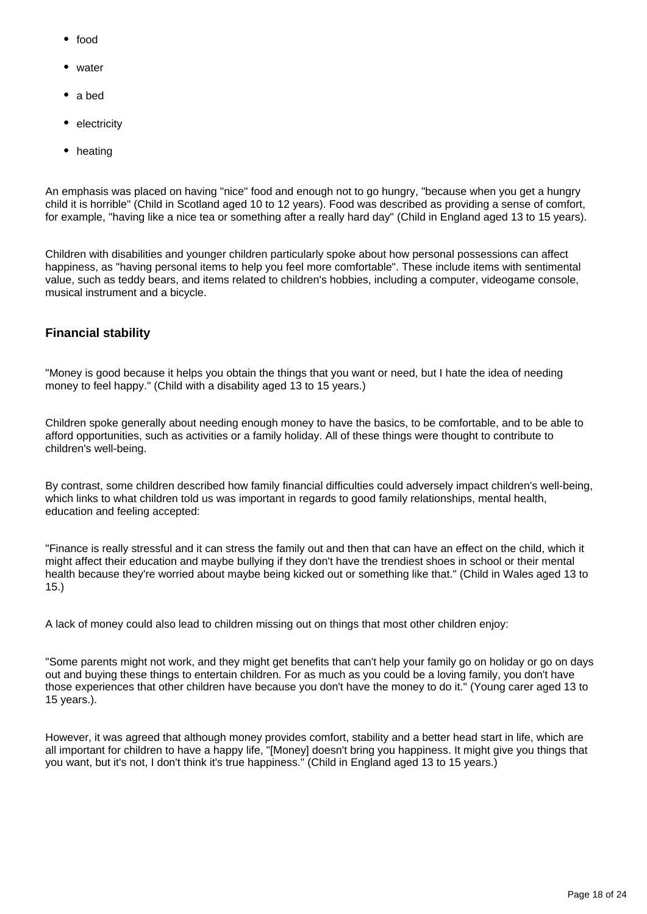- food
- water
- a bed
- electricity
- heating

An emphasis was placed on having "nice" food and enough not to go hungry, "because when you get a hungry child it is horrible" (Child in Scotland aged 10 to 12 years). Food was described as providing a sense of comfort, for example, "having like a nice tea or something after a really hard day" (Child in England aged 13 to 15 years).

Children with disabilities and younger children particularly spoke about how personal possessions can affect happiness, as "having personal items to help you feel more comfortable". These include items with sentimental value, such as teddy bears, and items related to children's hobbies, including a computer, videogame console, musical instrument and a bicycle.

#### **Financial stability**

"Money is good because it helps you obtain the things that you want or need, but I hate the idea of needing money to feel happy." (Child with a disability aged 13 to 15 years.)

Children spoke generally about needing enough money to have the basics, to be comfortable, and to be able to afford opportunities, such as activities or a family holiday. All of these things were thought to contribute to children's well-being.

By contrast, some children described how family financial difficulties could adversely impact children's well-being, which links to what children told us was important in regards to good family relationships, mental health, education and feeling accepted:

"Finance is really stressful and it can stress the family out and then that can have an effect on the child, which it might affect their education and maybe bullying if they don't have the trendiest shoes in school or their mental health because they're worried about maybe being kicked out or something like that." (Child in Wales aged 13 to 15.)

A lack of money could also lead to children missing out on things that most other children enjoy:

"Some parents might not work, and they might get benefits that can't help your family go on holiday or go on days out and buying these things to entertain children. For as much as you could be a loving family, you don't have those experiences that other children have because you don't have the money to do it." (Young carer aged 13 to 15 years.).

However, it was agreed that although money provides comfort, stability and a better head start in life, which are all important for children to have a happy life, "[Money] doesn't bring you happiness. It might give you things that you want, but it's not, I don't think it's true happiness." (Child in England aged 13 to 15 years.)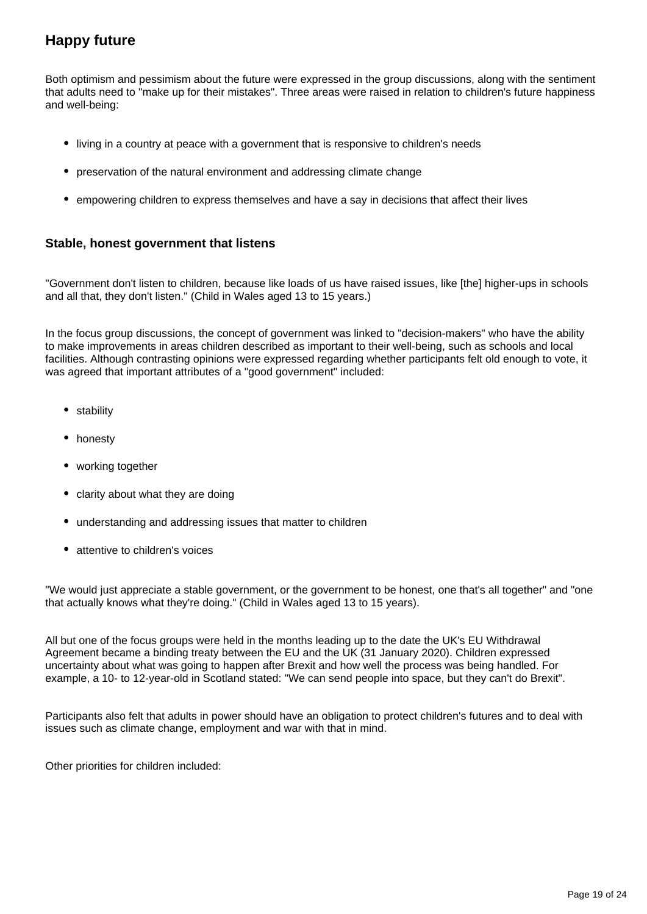## **Happy future**

Both optimism and pessimism about the future were expressed in the group discussions, along with the sentiment that adults need to "make up for their mistakes". Three areas were raised in relation to children's future happiness and well-being:

- living in a country at peace with a government that is responsive to children's needs
- preservation of the natural environment and addressing climate change
- empowering children to express themselves and have a say in decisions that affect their lives

#### **Stable, honest government that listens**

"Government don't listen to children, because like loads of us have raised issues, like [the] higher-ups in schools and all that, they don't listen." (Child in Wales aged 13 to 15 years.)

In the focus group discussions, the concept of government was linked to "decision-makers" who have the ability to make improvements in areas children described as important to their well-being, such as schools and local facilities. Although contrasting opinions were expressed regarding whether participants felt old enough to vote, it was agreed that important attributes of a "good government" included:

- stability
- honesty
- working together
- clarity about what they are doing
- understanding and addressing issues that matter to children
- attentive to children's voices

"We would just appreciate a stable government, or the government to be honest, one that's all together" and "one that actually knows what they're doing." (Child in Wales aged 13 to 15 years).

All but one of the focus groups were held in the months leading up to the date the UK's EU Withdrawal Agreement became a binding treaty between the EU and the UK (31 January 2020). Children expressed uncertainty about what was going to happen after Brexit and how well the process was being handled. For example, a 10- to 12-year-old in Scotland stated: "We can send people into space, but they can't do Brexit".

Participants also felt that adults in power should have an obligation to protect children's futures and to deal with issues such as climate change, employment and war with that in mind.

Other priorities for children included: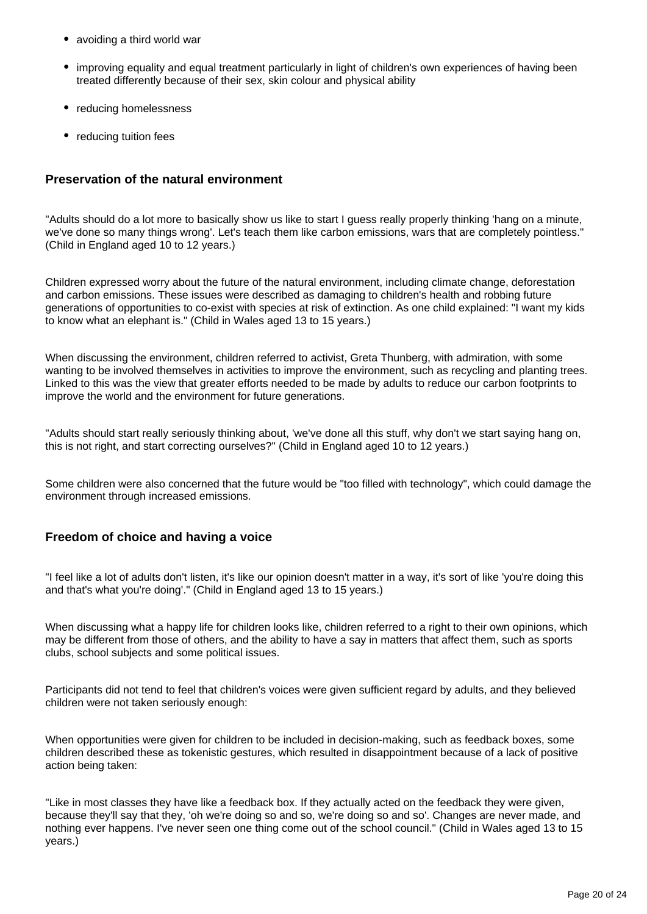- avoiding a third world war
- improving equality and equal treatment particularly in light of children's own experiences of having been treated differently because of their sex, skin colour and physical ability
- reducing homelessness
- reducing tuition fees

#### **Preservation of the natural environment**

"Adults should do a lot more to basically show us like to start I guess really properly thinking 'hang on a minute, we've done so many things wrong'. Let's teach them like carbon emissions, wars that are completely pointless." (Child in England aged 10 to 12 years.)

Children expressed worry about the future of the natural environment, including climate change, deforestation and carbon emissions. These issues were described as damaging to children's health and robbing future generations of opportunities to co-exist with species at risk of extinction. As one child explained: "I want my kids to know what an elephant is." (Child in Wales aged 13 to 15 years.)

When discussing the environment, children referred to activist, Greta Thunberg, with admiration, with some wanting to be involved themselves in activities to improve the environment, such as recycling and planting trees. Linked to this was the view that greater efforts needed to be made by adults to reduce our carbon footprints to improve the world and the environment for future generations.

"Adults should start really seriously thinking about, 'we've done all this stuff, why don't we start saying hang on, this is not right, and start correcting ourselves?" (Child in England aged 10 to 12 years.)

Some children were also concerned that the future would be "too filled with technology", which could damage the environment through increased emissions.

#### **Freedom of choice and having a voice**

"I feel like a lot of adults don't listen, it's like our opinion doesn't matter in a way, it's sort of like 'you're doing this and that's what you're doing'." (Child in England aged 13 to 15 years.)

When discussing what a happy life for children looks like, children referred to a right to their own opinions, which may be different from those of others, and the ability to have a say in matters that affect them, such as sports clubs, school subjects and some political issues.

Participants did not tend to feel that children's voices were given sufficient regard by adults, and they believed children were not taken seriously enough:

When opportunities were given for children to be included in decision-making, such as feedback boxes, some children described these as tokenistic gestures, which resulted in disappointment because of a lack of positive action being taken:

"Like in most classes they have like a feedback box. If they actually acted on the feedback they were given, because they'll say that they, 'oh we're doing so and so, we're doing so and so'. Changes are never made, and nothing ever happens. I've never seen one thing come out of the school council." (Child in Wales aged 13 to 15 years.)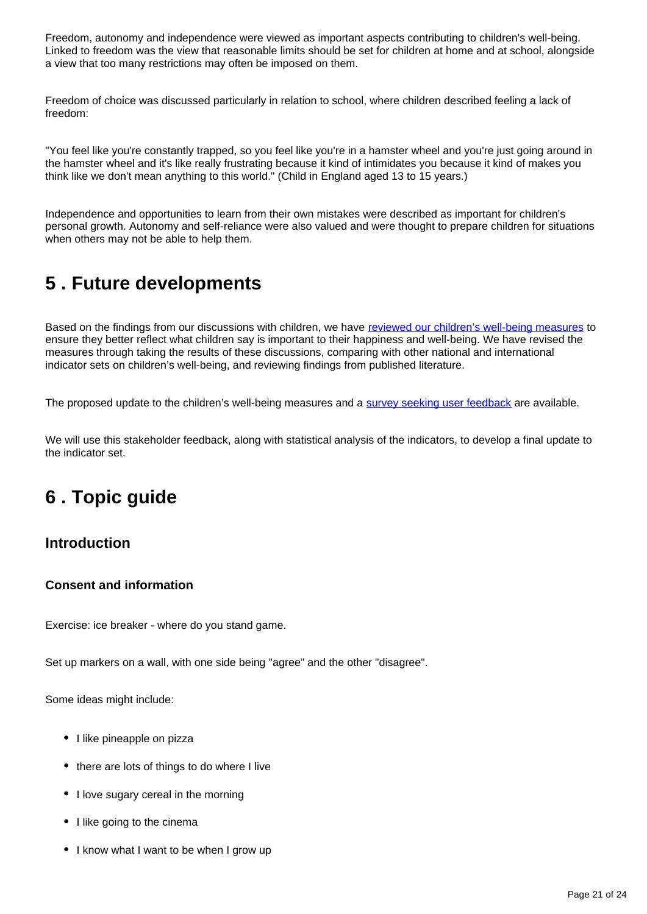Freedom, autonomy and independence were viewed as important aspects contributing to children's well-being. Linked to freedom was the view that reasonable limits should be set for children at home and at school, alongside a view that too many restrictions may often be imposed on them.

Freedom of choice was discussed particularly in relation to school, where children described feeling a lack of freedom:

"You feel like you're constantly trapped, so you feel like you're in a hamster wheel and you're just going around in the hamster wheel and it's like really frustrating because it kind of intimidates you because it kind of makes you think like we don't mean anything to this world." (Child in England aged 13 to 15 years.)

Independence and opportunities to learn from their own mistakes were described as important for children's personal growth. Autonomy and self-reliance were also valued and were thought to prepare children for situations when others may not be able to help them.

## <span id="page-20-0"></span>**5 . Future developments**

Based on the findings from our discussions with children, we have [reviewed our children's well-being measures](https://www.ons.gov.uk/peoplepopulationandcommunity/wellbeing/articles/childrenswellbeingindicatorreviewuk2020/2020-09-02) to ensure they better reflect what children say is important to their happiness and well-being. We have revised the measures through taking the results of these discussions, comparing with other national and international indicator sets on children's well-being, and reviewing findings from published literature.

The proposed update to the children's well-being measures and a [survey seeking user feedback](https://www.ons.gov.uk/peoplepopulationandcommunity/wellbeing/articles/childrenswellbeingindicatorreviewuk2020/2020-09-02#future-developments) are available.

We will use this stakeholder feedback, along with statistical analysis of the indicators, to develop a final update to the indicator set.

## <span id="page-20-1"></span>**6 . Topic guide**

## **Introduction**

#### **Consent and information**

Exercise: ice breaker - where do you stand game.

Set up markers on a wall, with one side being "agree" and the other "disagree".

Some ideas might include:

- I like pineapple on pizza
- there are lots of things to do where I live
- I love sugary cereal in the morning
- I like going to the cinema
- I know what I want to be when I grow up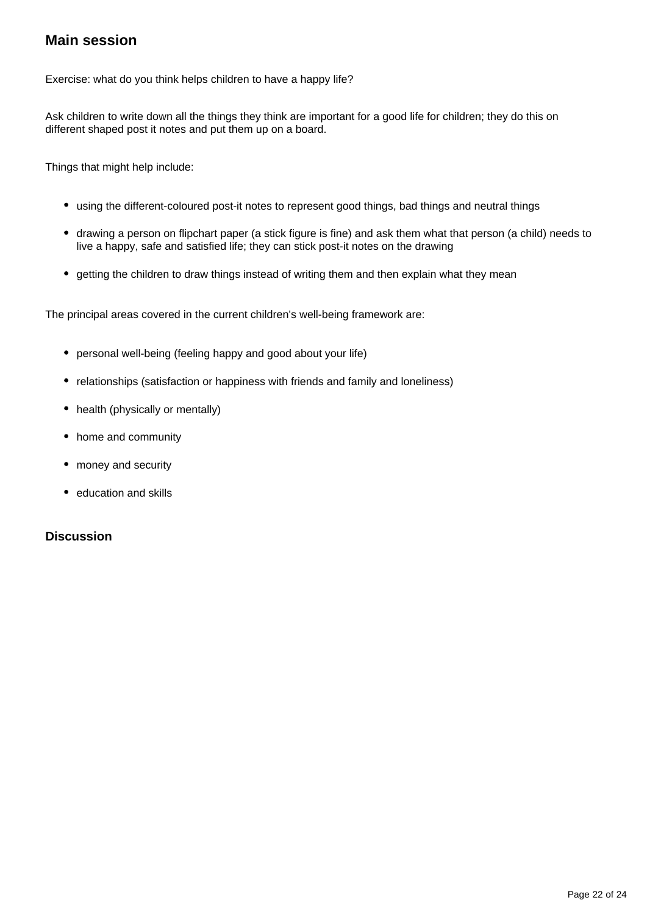## **Main session**

Exercise: what do you think helps children to have a happy life?

Ask children to write down all the things they think are important for a good life for children; they do this on different shaped post it notes and put them up on a board.

Things that might help include:

- using the different-coloured post-it notes to represent good things, bad things and neutral things
- drawing a person on flipchart paper (a stick figure is fine) and ask them what that person (a child) needs to live a happy, safe and satisfied life; they can stick post-it notes on the drawing
- getting the children to draw things instead of writing them and then explain what they mean

The principal areas covered in the current children's well-being framework are:

- personal well-being (feeling happy and good about your life)
- relationships (satisfaction or happiness with friends and family and loneliness)
- health (physically or mentally)
- home and community
- money and security
- education and skills

#### **Discussion**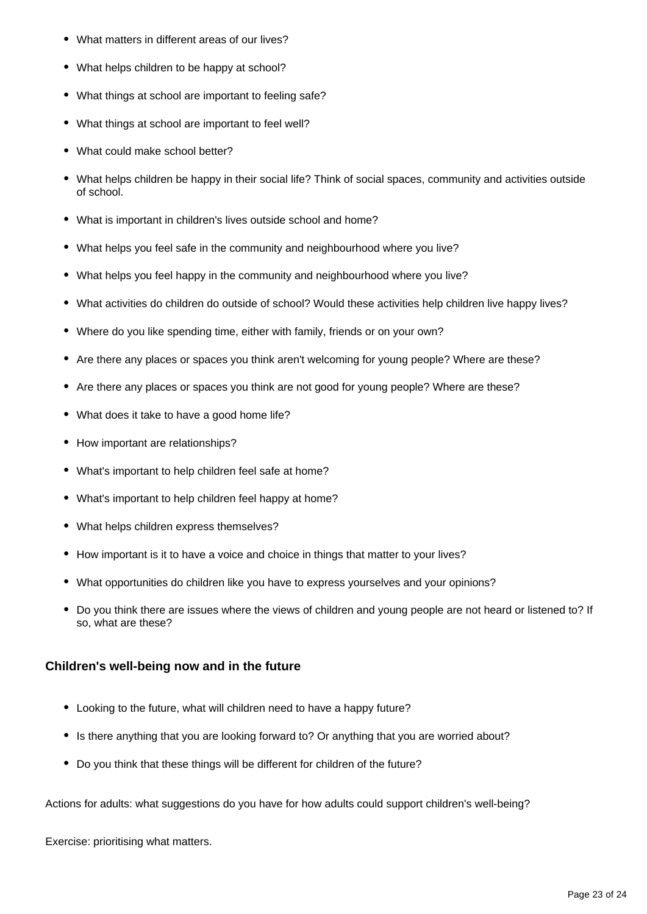- $\bullet$ What matters in different areas of our lives?
- What helps children to be happy at school?
- What things at school are important to feeling safe?
- What things at school are important to feel well?
- What could make school better?
- What helps children be happy in their social life? Think of social spaces, community and activities outside of school.
- What is important in children's lives outside school and home?
- What helps you feel safe in the community and neighbourhood where you live?
- What helps you feel happy in the community and neighbourhood where you live?
- What activities do children do outside of school? Would these activities help children live happy lives?
- Where do you like spending time, either with family, friends or on your own?
- Are there any places or spaces you think aren't welcoming for young people? Where are these?
- Are there any places or spaces you think are not good for young people? Where are these?
- What does it take to have a good home life?
- How important are relationships?
- What's important to help children feel safe at home?
- What's important to help children feel happy at home?
- What helps children express themselves?
- How important is it to have a voice and choice in things that matter to your lives?
- What opportunities do children like you have to express yourselves and your opinions?
- Do you think there are issues where the views of children and young people are not heard or listened to? If so, what are these?

### **Children's well-being now and in the future**

- Looking to the future, what will children need to have a happy future?
- Is there anything that you are looking forward to? Or anything that you are worried about?
- Do you think that these things will be different for children of the future?

Actions for adults: what suggestions do you have for how adults could support children's well-being?

Exercise: prioritising what matters.